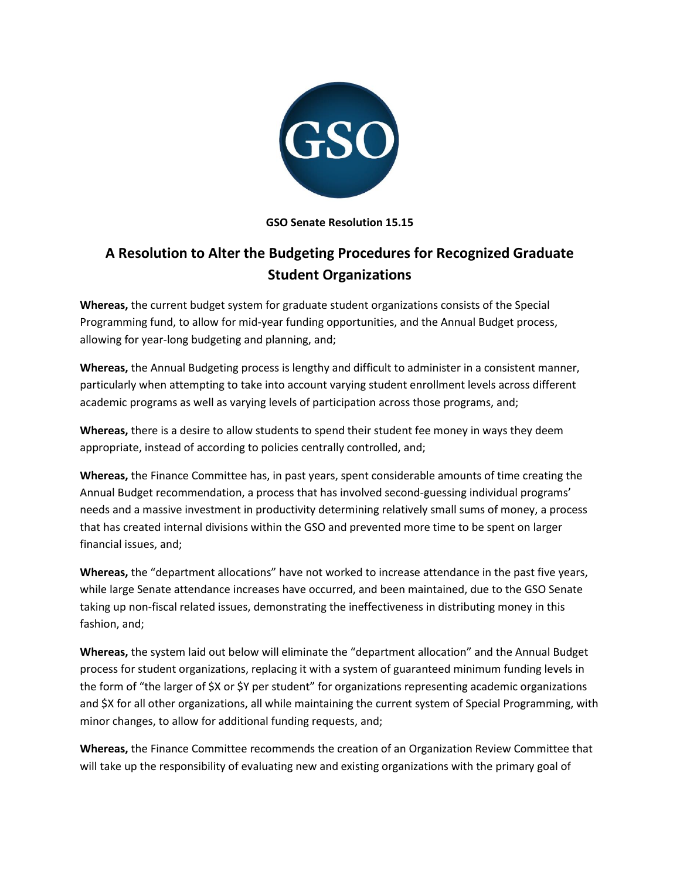

# **GSO Senate Resolution 15.15**

# **A Resolution to Alter the Budgeting Procedures for Recognized Graduate Student Organizations**

**Whereas,** the current budget system for graduate student organizations consists of the Special Programming fund, to allow for mid-year funding opportunities, and the Annual Budget process, allowing for year-long budgeting and planning, and;

**Whereas,** the Annual Budgeting process is lengthy and difficult to administer in a consistent manner, particularly when attempting to take into account varying student enrollment levels across different academic programs as well as varying levels of participation across those programs, and;

**Whereas,** there is a desire to allow students to spend their student fee money in ways they deem appropriate, instead of according to policies centrally controlled, and;

**Whereas,** the Finance Committee has, in past years, spent considerable amounts of time creating the Annual Budget recommendation, a process that has involved second-guessing individual programs' needs and a massive investment in productivity determining relatively small sums of money, a process that has created internal divisions within the GSO and prevented more time to be spent on larger financial issues, and;

**Whereas,** the "department allocations" have not worked to increase attendance in the past five years, while large Senate attendance increases have occurred, and been maintained, due to the GSO Senate taking up non-fiscal related issues, demonstrating the ineffectiveness in distributing money in this fashion, and;

**Whereas,** the system laid out below will eliminate the "department allocation" and the Annual Budget process for student organizations, replacing it with a system of guaranteed minimum funding levels in the form of "the larger of \$X or \$Y per student" for organizations representing academic organizations and \$X for all other organizations, all while maintaining the current system of Special Programming, with minor changes, to allow for additional funding requests, and;

**Whereas,** the Finance Committee recommends the creation of an Organization Review Committee that will take up the responsibility of evaluating new and existing organizations with the primary goal of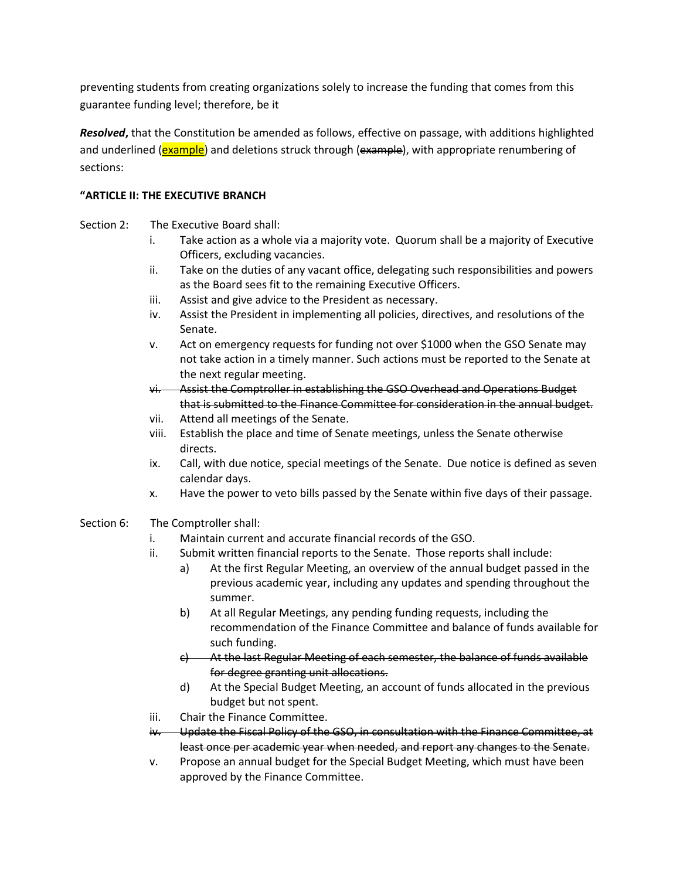preventing students from creating organizations solely to increase the funding that comes from this guarantee funding level; therefore, be it

*Resolved***,** that the Constitution be amended as follows, effective on passage, with additions highlighted and underlined (**example**) and deletions struck through (example), with appropriate renumbering of sections:

# **"ARTICLE II: THE EXECUTIVE BRANCH**

- Section 2: The Executive Board shall:
	- i. Take action as a whole via a majority vote. Quorum shall be a majority of Executive Officers, excluding vacancies.
	- ii. Take on the duties of any vacant office, delegating such responsibilities and powers as the Board sees fit to the remaining Executive Officers.
	- iii. Assist and give advice to the President as necessary.
	- iv. Assist the President in implementing all policies, directives, and resolutions of the Senate.
	- v. Act on emergency requests for funding not over \$1000 when the GSO Senate may not take action in a timely manner. Such actions must be reported to the Senate at the next regular meeting.
	- vi. Assist the Comptroller in establishing the GSO Overhead and Operations Budget that is submitted to the Finance Committee for consideration in the annual budget.
	- vii. Attend all meetings of the Senate.
	- viii. Establish the place and time of Senate meetings, unless the Senate otherwise directs.
	- ix. Call, with due notice, special meetings of the Senate. Due notice is defined as seven calendar days.
	- x. Have the power to veto bills passed by the Senate within five days of their passage.
- Section 6: The Comptroller shall:
	- i. Maintain current and accurate financial records of the GSO.
	- ii. Submit written financial reports to the Senate. Those reports shall include:
		- a) At the first Regular Meeting, an overview of the annual budget passed in the previous academic year, including any updates and spending throughout the summer.
		- b) At all Regular Meetings, any pending funding requests, including the recommendation of the Finance Committee and balance of funds available for such funding.
		- c) At the last Regular Meeting of each semester, the balance of funds available for degree granting unit allocations.
		- d) At the Special Budget Meeting, an account of funds allocated in the previous budget but not spent.
	- iii. Chair the Finance Committee.
	- iv. Update the Fiscal Policy of the GSO, in consultation with the Finance Committee, at least once per academic year when needed, and report any changes to the Senate.
	- v. Propose an annual budget for the Special Budget Meeting, which must have been approved by the Finance Committee.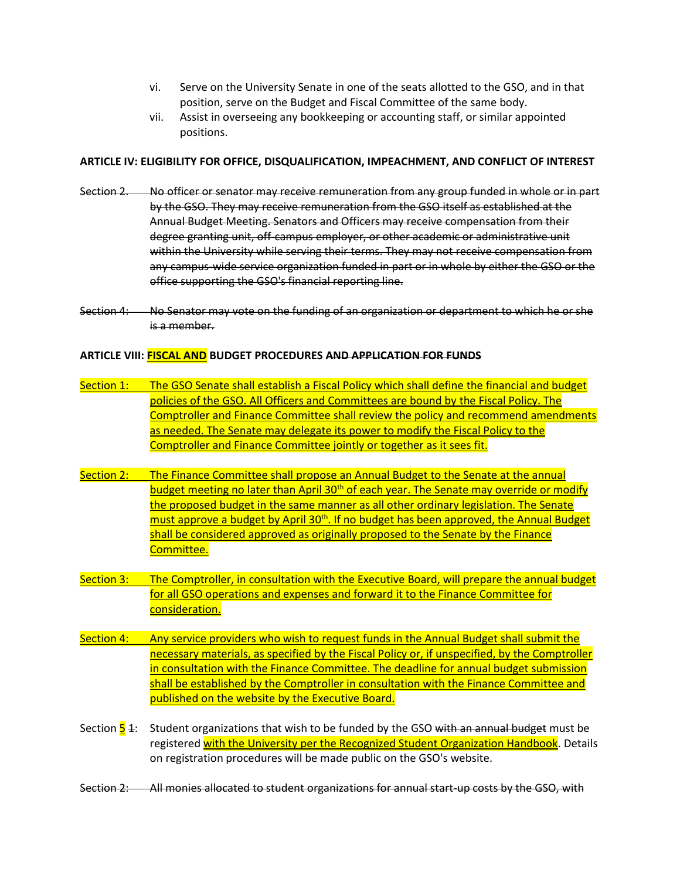- vi. Serve on the University Senate in one of the seats allotted to the GSO, and in that position, serve on the Budget and Fiscal Committee of the same body.
- vii. Assist in overseeing any bookkeeping or accounting staff, or similar appointed positions.

#### **ARTICLE IV: ELIGIBILITY FOR OFFICE, DISQUALIFICATION, IMPEACHMENT, AND CONFLICT OF INTEREST**

- Section 2. No officer or senator may receive remuneration from any group funded in whole or in part by the GSO. They may receive remuneration from the GSO itself as established at the Annual Budget Meeting. Senators and Officers may receive compensation from their degree granting unit, off-campus employer, or other academic or administrative unit within the University while serving their terms. They may not receive compensation from any campus-wide service organization funded in part or in whole by either the GSO or the office supporting the GSO's financial reporting line.
- Section 4: No Senator may vote on the funding of an organization or department to which he or she is a member.

#### **ARTICLE VIII: FISCAL AND BUDGET PROCEDURES AND APPLICATION FOR FUNDS**

- Section 1: The GSO Senate shall establish a Fiscal Policy which shall define the financial and budget policies of the GSO. All Officers and Committees are bound by the Fiscal Policy. The Comptroller and Finance Committee shall review the policy and recommend amendments as needed. The Senate may delegate its power to modify the Fiscal Policy to the Comptroller and Finance Committee jointly or together as it sees fit.
- Section 2: The Finance Committee shall propose an Annual Budget to the Senate at the annual budget meeting no later than April  $30<sup>th</sup>$  of each year. The Senate may override or modify the proposed budget in the same manner as all other ordinary legislation. The Senate must approve a budget by April 30<sup>th</sup>. If no budget has been approved, the Annual Budget shall be considered approved as originally proposed to the Senate by the Finance Committee.
- Section 3: The Comptroller, in consultation with the Executive Board, will prepare the annual budget for all GSO operations and expenses and forward it to the Finance Committee for consideration.
- Section 4: Any service providers who wish to request funds in the Annual Budget shall submit the necessary materials, as specified by the Fiscal Policy or, if unspecified, by the Comptroller in consultation with the Finance Committee. The deadline for annual budget submission shall be established by the Comptroller in consultation with the Finance Committee and published on the website by the Executive Board.
- Section  $\frac{1}{5}$  4: Student organizations that wish to be funded by the GSO with an annual budget must be registered with the University per the Recognized Student Organization Handbook. Details on registration procedures will be made public on the GSO's website.
- Section 2: All monies allocated to student organizations for annual start-up costs by the GSO, with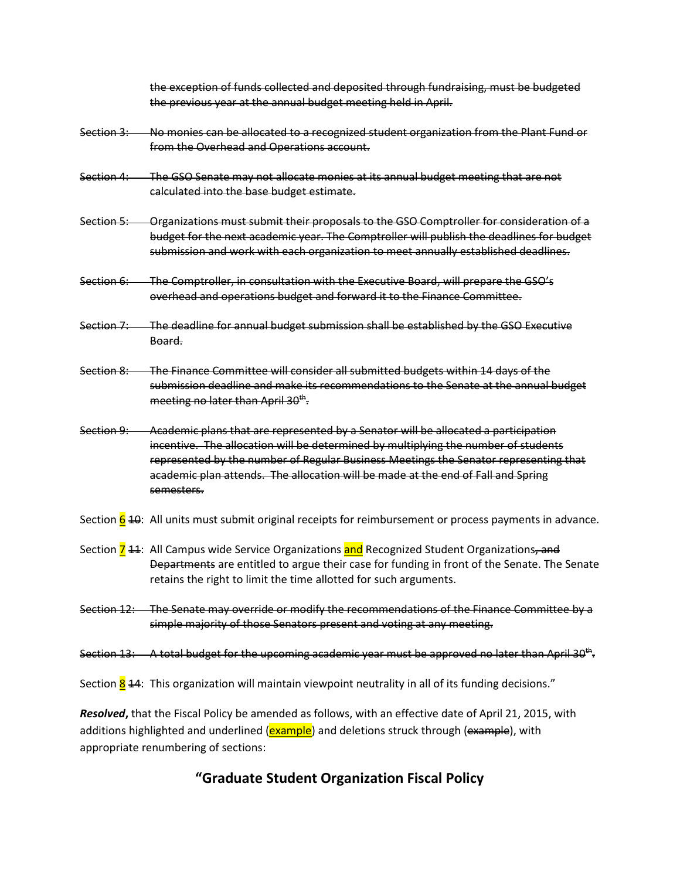the exception of funds collected and deposited through fundraising, must be budgeted the previous year at the annual budget meeting held in April.

- Section 3: No monies can be allocated to a recognized student organization from the Plant Fund or from the Overhead and Operations account.
- Section 4: The GSO Senate may not allocate monies at its annual budget meeting that are not calculated into the base budget estimate.
- Section 5: Organizations must submit their proposals to the GSO Comptroller for consideration of a budget for the next academic year. The Comptroller will publish the deadlines for budget submission and work with each organization to meet annually established deadlines.
- Section 6: The Comptroller, in consultation with the Executive Board, will prepare the GSO's overhead and operations budget and forward it to the Finance Committee.
- Section 7: The deadline for annual budget submission shall be established by the GSO Executive Board.
- Section 8: The Finance Committee will consider all submitted budgets within 14 days of the submission deadline and make its recommendations to the Senate at the annual budget meeting no later than April 30<sup>th</sup>.

Section 9: Academic plans that are represented by a Senator will be allocated a participation incentive. The allocation will be determined by multiplying the number of students represented by the number of Regular Business Meetings the Senator representing that academic plan attends. The allocation will be made at the end of Fall and Spring semesters.

- Section  $\frac{6}{9}$  40: All units must submit original receipts for reimbursement or process payments in advance.
- Section **7** 44: All Campus wide Service Organizations and Recognized Student Organizations, and Departments are entitled to argue their case for funding in front of the Senate. The Senate retains the right to limit the time allotted for such arguments.
- Section 12: The Senate may override or modify the recommendations of the Finance Committee by a simple majority of those Senators present and voting at any meeting.
- Section 13: A total budget for the upcoming academic year must be approved no later than April 30<sup>th</sup>.

Section  $\frac{8}{14}$ : This organization will maintain viewpoint neutrality in all of its funding decisions."

*Resolved***,** that the Fiscal Policy be amended as follows, with an effective date of April 21, 2015, with additions highlighted and underlined (example) and deletions struck through (example), with appropriate renumbering of sections:

# **"Graduate Student Organization Fiscal Policy**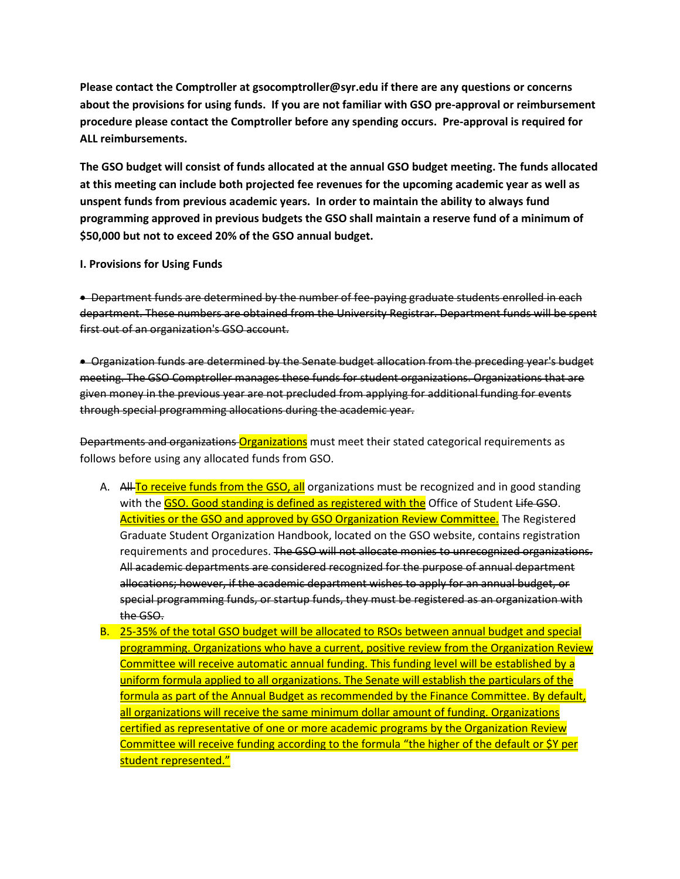**Please contact the Comptroller at gsocomptroller@syr.edu if there are any questions or concerns about the provisions for using funds. If you are not familiar with GSO pre-approval or reimbursement procedure please contact the Comptroller before any spending occurs. Pre-approval is required for ALL reimbursements.**

**The GSO budget will consist of funds allocated at the annual GSO budget meeting. The funds allocated at this meeting can include both projected fee revenues for the upcoming academic year as well as unspent funds from previous academic years. In order to maintain the ability to always fund programming approved in previous budgets the GSO shall maintain a reserve fund of a minimum of \$50,000 but not to exceed 20% of the GSO annual budget.**

#### **I. Provisions for Using Funds**

• Department funds are determined by the number of fee-paying graduate students enrolled in each department. These numbers are obtained from the University Registrar. Department funds will be spent first out of an organization's GSO account.

 Organization funds are determined by the Senate budget allocation from the preceding year's budget meeting. The GSO Comptroller manages these funds for student organizations. Organizations that are given money in the previous year are not precluded from applying for additional funding for events through special programming allocations during the academic year.

Departments and organizations Organizations must meet their stated categorical requirements as follows before using any allocated funds from GSO.

- A. All To receive funds from the GSO, all organizations must be recognized and in good standing with the GSO. Good standing is defined as registered with the Office of Student Life GSO. Activities or the GSO and approved by GSO Organization Review Committee. The Registered Graduate Student Organization Handbook, located on the GSO website, contains registration requirements and procedures. The GSO will not allocate monies to unrecognized organizations. All academic departments are considered recognized for the purpose of annual department allocations; however, if the academic department wishes to apply for an annual budget, or special programming funds, or startup funds, they must be registered as an organization with the GSO.
- B. 25-35% of the total GSO budget will be allocated to RSOs between annual budget and special programming. Organizations who have a current, positive review from the Organization Review Committee will receive automatic annual funding. This funding level will be established by a uniform formula applied to all organizations. The Senate will establish the particulars of the formula as part of the Annual Budget as recommended by the Finance Committee. By default, all organizations will receive the same minimum dollar amount of funding. Organizations certified as representative of one or more academic programs by the Organization Review Committee will receive funding according to the formula "the higher of the default or \$Y per student represented."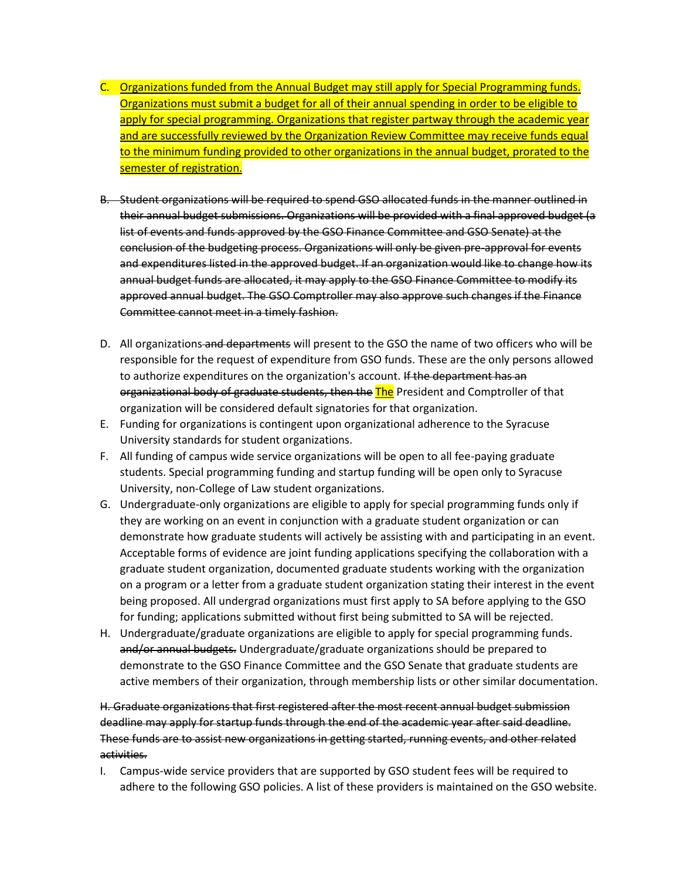- C. Organizations funded from the Annual Budget may still apply for Special Programming funds. Organizations must submit a budget for all of their annual spending in order to be eligible to apply for special programming. Organizations that register partway through the academic year and are successfully reviewed by the Organization Review Committee may receive funds equal to the minimum funding provided to other organizations in the annual budget, prorated to the semester of registration.
- B. Student organizations will be required to spend GSO allocated funds in the manner outlined in their annual budget submissions. Organizations will be provided with a final approved budget (a list of events and funds approved by the GSO Finance Committee and GSO Senate) at the conclusion of the budgeting process. Organizations will only be given pre-approval for events and expenditures listed in the approved budget. If an organization would like to change how its annual budget funds are allocated, it may apply to the GSO Finance Committee to modify its approved annual budget. The GSO Comptroller may also approve such changes if the Finance Committee cannot meet in a timely fashion.
- D. All organizations and departments will present to the GSO the name of two officers who will be responsible for the request of expenditure from GSO funds. These are the only persons allowed to authorize expenditures on the organization's account. If the department has an organizational body of graduate students, then the The President and Comptroller of that organization will be considered default signatories for that organization.
- E. Funding for organizations is contingent upon organizational adherence to the Syracuse University standards for student organizations.
- F. All funding of campus wide service organizations will be open to all fee-paying graduate students. Special programming funding and startup funding will be open only to Syracuse University, non-College of Law student organizations.
- G. Undergraduate-only organizations are eligible to apply for special programming funds only if they are working on an event in conjunction with a graduate student organization or can demonstrate how graduate students will actively be assisting with and participating in an event. Acceptable forms of evidence are joint funding applications specifying the collaboration with a graduate student organization, documented graduate students working with the organization on a program or a letter from a graduate student organization stating their interest in the event being proposed. All undergrad organizations must first apply to SA before applying to the GSO for funding; applications submitted without first being submitted to SA will be rejected.
- H. Undergraduate/graduate organizations are eligible to apply for special programming funds. and/or annual budgets. Undergraduate/graduate organizations should be prepared to demonstrate to the GSO Finance Committee and the GSO Senate that graduate students are active members of their organization, through membership lists or other similar documentation.

H. Graduate organizations that first registered after the most recent annual budget submission deadline may apply for startup funds through the end of the academic year after said deadline. These funds are to assist new organizations in getting started, running events, and other related activities.

I. Campus-wide service providers that are supported by GSO student fees will be required to adhere to the following GSO policies. A list of these providers is maintained on the GSO website.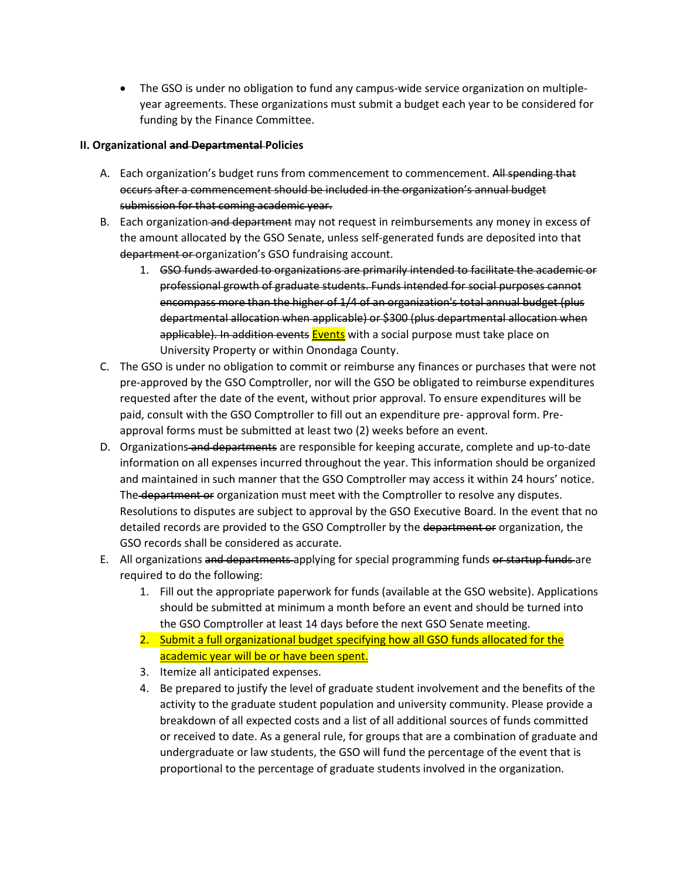The GSO is under no obligation to fund any campus-wide service organization on multipleyear agreements. These organizations must submit a budget each year to be considered for funding by the Finance Committee.

## **II. Organizational and Departmental Policies**

- A. Each organization's budget runs from commencement to commencement. All spending that occurs after a commencement should be included in the organization's annual budget submission for that coming academic year.
- B. Each organization and department may not request in reimbursements any money in excess of the amount allocated by the GSO Senate, unless self-generated funds are deposited into that department or organization's GSO fundraising account.
	- 1. GSO funds awarded to organizations are primarily intended to facilitate the academic or professional growth of graduate students. Funds intended for social purposes cannot encompass more than the higher of 1/4 of an organization's total annual budget (plus departmental allocation when applicable) or \$300 (plus departmental allocation when applicable). In addition events Events with a social purpose must take place on University Property or within Onondaga County.
- C. The GSO is under no obligation to commit or reimburse any finances or purchases that were not pre-approved by the GSO Comptroller, nor will the GSO be obligated to reimburse expenditures requested after the date of the event, without prior approval. To ensure expenditures will be paid, consult with the GSO Comptroller to fill out an expenditure pre- approval form. Preapproval forms must be submitted at least two (2) weeks before an event.
- D. Organizations and departments are responsible for keeping accurate, complete and up-to-date information on all expenses incurred throughout the year. This information should be organized and maintained in such manner that the GSO Comptroller may access it within 24 hours' notice. The department or organization must meet with the Comptroller to resolve any disputes. Resolutions to disputes are subject to approval by the GSO Executive Board. In the event that no detailed records are provided to the GSO Comptroller by the department or organization, the GSO records shall be considered as accurate.
- E. All organizations and departments-applying for special programming funds or startup funds-are required to do the following:
	- 1. Fill out the appropriate paperwork for funds (available at the GSO website). Applications should be submitted at minimum a month before an event and should be turned into the GSO Comptroller at least 14 days before the next GSO Senate meeting.
	- 2. Submit a full organizational budget specifying how all GSO funds allocated for the academic year will be or have been spent.
	- 3. Itemize all anticipated expenses.
	- 4. Be prepared to justify the level of graduate student involvement and the benefits of the activity to the graduate student population and university community. Please provide a breakdown of all expected costs and a list of all additional sources of funds committed or received to date. As a general rule, for groups that are a combination of graduate and undergraduate or law students, the GSO will fund the percentage of the event that is proportional to the percentage of graduate students involved in the organization.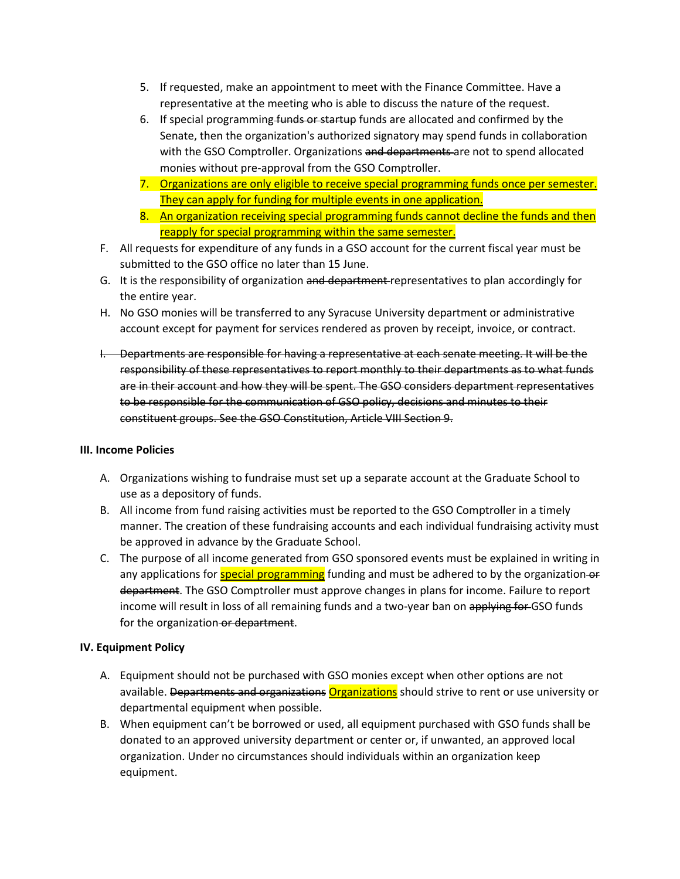- 5. If requested, make an appointment to meet with the Finance Committee. Have a representative at the meeting who is able to discuss the nature of the request.
- 6. If special programming funds or startup funds are allocated and confirmed by the Senate, then the organization's authorized signatory may spend funds in collaboration with the GSO Comptroller. Organizations and departments are not to spend allocated monies without pre-approval from the GSO Comptroller.
- 7. Organizations are only eligible to receive special programming funds once per semester. They can apply for funding for multiple events in one application.
- 8. An organization receiving special programming funds cannot decline the funds and then reapply for special programming within the same semester.
- F. All requests for expenditure of any funds in a GSO account for the current fiscal year must be submitted to the GSO office no later than 15 June.
- G. It is the responsibility of organization and department representatives to plan accordingly for the entire year.
- H. No GSO monies will be transferred to any Syracuse University department or administrative account except for payment for services rendered as proven by receipt, invoice, or contract.
- I. Departments are responsible for having a representative at each senate meeting. It will be the responsibility of these representatives to report monthly to their departments as to what funds are in their account and how they will be spent. The GSO considers department representatives to be responsible for the communication of GSO policy, decisions and minutes to their constituent groups. See the GSO Constitution, Article VIII Section 9.

#### **III. Income Policies**

- A. Organizations wishing to fundraise must set up a separate account at the Graduate School to use as a depository of funds.
- B. All income from fund raising activities must be reported to the GSO Comptroller in a timely manner. The creation of these fundraising accounts and each individual fundraising activity must be approved in advance by the Graduate School.
- C. The purpose of all income generated from GSO sponsored events must be explained in writing in any applications for **special programming** funding and must be adhered to by the organization-or department. The GSO Comptroller must approve changes in plans for income. Failure to report income will result in loss of all remaining funds and a two-year ban on applying for GSO funds for the organization or department.

# **IV. Equipment Policy**

- A. Equipment should not be purchased with GSO monies except when other options are not available. Departments and organizations **Organizations** should strive to rent or use university or departmental equipment when possible.
- B. When equipment can't be borrowed or used, all equipment purchased with GSO funds shall be donated to an approved university department or center or, if unwanted, an approved local organization. Under no circumstances should individuals within an organization keep equipment.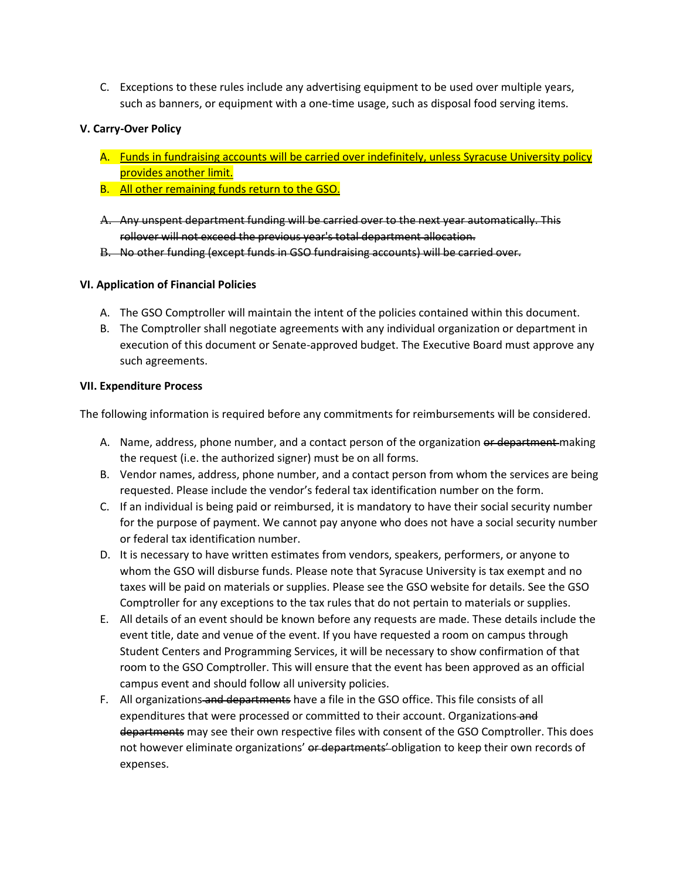C. Exceptions to these rules include any advertising equipment to be used over multiple years, such as banners, or equipment with a one-time usage, such as disposal food serving items.

# **V. Carry-Over Policy**

- A. Funds in fundraising accounts will be carried over indefinitely, unless Syracuse University policy provides another limit.
- B. All other remaining funds return to the GSO.
- A. Any unspent department funding will be carried over to the next year automatically. This rollover will not exceed the previous year's total department allocation.
- B. No other funding (except funds in GSO fundraising accounts) will be carried over.

#### **VI. Application of Financial Policies**

- A. The GSO Comptroller will maintain the intent of the policies contained within this document.
- B. The Comptroller shall negotiate agreements with any individual organization or department in execution of this document or Senate-approved budget. The Executive Board must approve any such agreements.

#### **VII. Expenditure Process**

The following information is required before any commitments for reimbursements will be considered.

- A. Name, address, phone number, and a contact person of the organization or department making the request (i.e. the authorized signer) must be on all forms.
- B. Vendor names, address, phone number, and a contact person from whom the services are being requested. Please include the vendor's federal tax identification number on the form.
- C. If an individual is being paid or reimbursed, it is mandatory to have their social security number for the purpose of payment. We cannot pay anyone who does not have a social security number or federal tax identification number.
- D. It is necessary to have written estimates from vendors, speakers, performers, or anyone to whom the GSO will disburse funds. Please note that Syracuse University is tax exempt and no taxes will be paid on materials or supplies. Please see the GSO website for details. See the GSO Comptroller for any exceptions to the tax rules that do not pertain to materials or supplies.
- E. All details of an event should be known before any requests are made. These details include the event title, date and venue of the event. If you have requested a room on campus through Student Centers and Programming Services, it will be necessary to show confirmation of that room to the GSO Comptroller. This will ensure that the event has been approved as an official campus event and should follow all university policies.
- F. All organizations and departments have a file in the GSO office. This file consists of all expenditures that were processed or committed to their account. Organizations-and departments may see their own respective files with consent of the GSO Comptroller. This does not however eliminate organizations' or departments' obligation to keep their own records of expenses.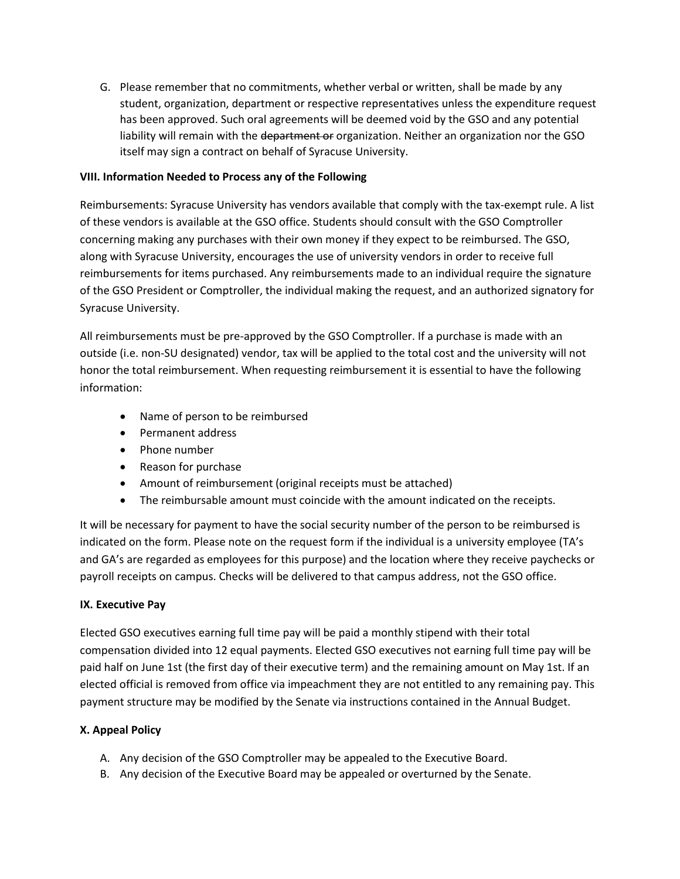G. Please remember that no commitments, whether verbal or written, shall be made by any student, organization, department or respective representatives unless the expenditure request has been approved. Such oral agreements will be deemed void by the GSO and any potential liability will remain with the department or organization. Neither an organization nor the GSO itself may sign a contract on behalf of Syracuse University.

# **VIII. Information Needed to Process any of the Following**

Reimbursements: Syracuse University has vendors available that comply with the tax-exempt rule. A list of these vendors is available at the GSO office. Students should consult with the GSO Comptroller concerning making any purchases with their own money if they expect to be reimbursed. The GSO, along with Syracuse University, encourages the use of university vendors in order to receive full reimbursements for items purchased. Any reimbursements made to an individual require the signature of the GSO President or Comptroller, the individual making the request, and an authorized signatory for Syracuse University.

All reimbursements must be pre-approved by the GSO Comptroller. If a purchase is made with an outside (i.e. non-SU designated) vendor, tax will be applied to the total cost and the university will not honor the total reimbursement. When requesting reimbursement it is essential to have the following information:

- Name of person to be reimbursed
- Permanent address
- Phone number
- Reason for purchase
- Amount of reimbursement (original receipts must be attached)
- The reimbursable amount must coincide with the amount indicated on the receipts.

It will be necessary for payment to have the social security number of the person to be reimbursed is indicated on the form. Please note on the request form if the individual is a university employee (TA's and GA's are regarded as employees for this purpose) and the location where they receive paychecks or payroll receipts on campus. Checks will be delivered to that campus address, not the GSO office.

# **IX. Executive Pay**

Elected GSO executives earning full time pay will be paid a monthly stipend with their total compensation divided into 12 equal payments. Elected GSO executives not earning full time pay will be paid half on June 1st (the first day of their executive term) and the remaining amount on May 1st. If an elected official is removed from office via impeachment they are not entitled to any remaining pay. This payment structure may be modified by the Senate via instructions contained in the Annual Budget.

#### **X. Appeal Policy**

- A. Any decision of the GSO Comptroller may be appealed to the Executive Board.
- B. Any decision of the Executive Board may be appealed or overturned by the Senate.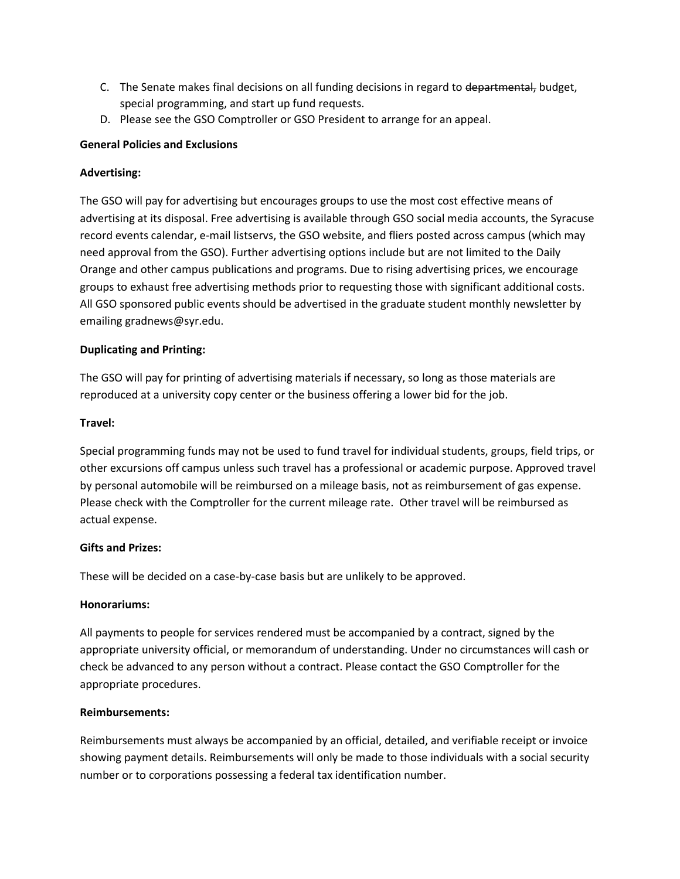- C. The Senate makes final decisions on all funding decisions in regard to departmental, budget, special programming, and start up fund requests.
- D. Please see the GSO Comptroller or GSO President to arrange for an appeal.

# **General Policies and Exclusions**

## **Advertising:**

The GSO will pay for advertising but encourages groups to use the most cost effective means of advertising at its disposal. Free advertising is available through GSO social media accounts, the Syracuse record events calendar, e-mail listservs, the GSO website, and fliers posted across campus (which may need approval from the GSO). Further advertising options include but are not limited to the Daily Orange and other campus publications and programs. Due to rising advertising prices, we encourage groups to exhaust free advertising methods prior to requesting those with significant additional costs. All GSO sponsored public events should be advertised in the graduate student monthly newsletter by emailing gradnews@syr.edu.

# **Duplicating and Printing:**

The GSO will pay for printing of advertising materials if necessary, so long as those materials are reproduced at a university copy center or the business offering a lower bid for the job.

#### **Travel:**

Special programming funds may not be used to fund travel for individual students, groups, field trips, or other excursions off campus unless such travel has a professional or academic purpose. Approved travel by personal automobile will be reimbursed on a mileage basis, not as reimbursement of gas expense. Please check with the Comptroller for the current mileage rate. Other travel will be reimbursed as actual expense.

#### **Gifts and Prizes:**

These will be decided on a case-by-case basis but are unlikely to be approved.

#### **Honorariums:**

All payments to people for services rendered must be accompanied by a contract, signed by the appropriate university official, or memorandum of understanding. Under no circumstances will cash or check be advanced to any person without a contract. Please contact the GSO Comptroller for the appropriate procedures.

#### **Reimbursements:**

Reimbursements must always be accompanied by an official, detailed, and verifiable receipt or invoice showing payment details. Reimbursements will only be made to those individuals with a social security number or to corporations possessing a federal tax identification number.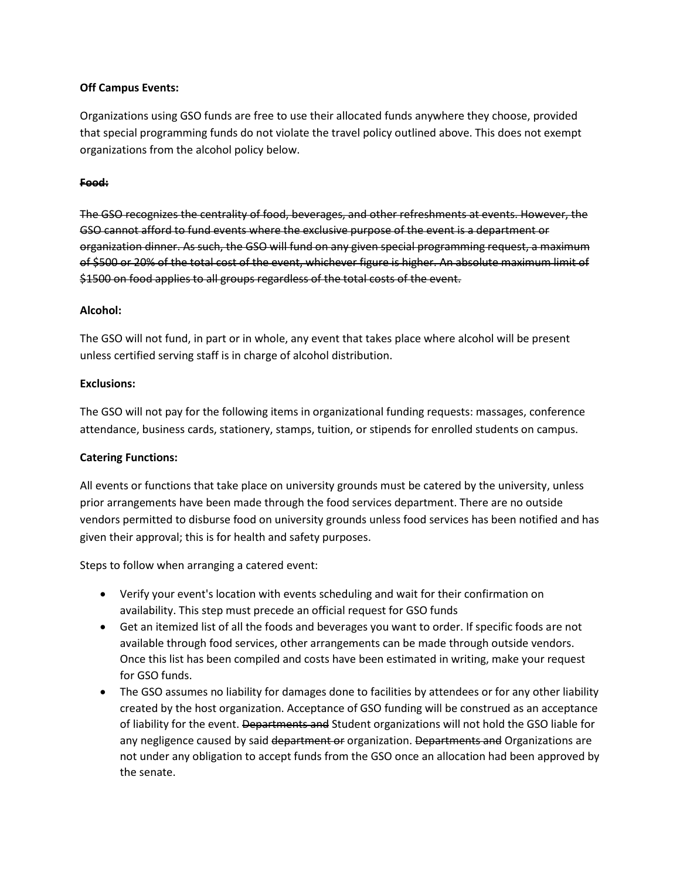## **Off Campus Events:**

Organizations using GSO funds are free to use their allocated funds anywhere they choose, provided that special programming funds do not violate the travel policy outlined above. This does not exempt organizations from the alcohol policy below.

## **Food:**

The GSO recognizes the centrality of food, beverages, and other refreshments at events. However, the GSO cannot afford to fund events where the exclusive purpose of the event is a department or organization dinner. As such, the GSO will fund on any given special programming request, a maximum of \$500 or 20% of the total cost of the event, whichever figure is higher. An absolute maximum limit of \$1500 on food applies to all groups regardless of the total costs of the event.

# **Alcohol:**

The GSO will not fund, in part or in whole, any event that takes place where alcohol will be present unless certified serving staff is in charge of alcohol distribution.

# **Exclusions:**

The GSO will not pay for the following items in organizational funding requests: massages, conference attendance, business cards, stationery, stamps, tuition, or stipends for enrolled students on campus.

#### **Catering Functions:**

All events or functions that take place on university grounds must be catered by the university, unless prior arrangements have been made through the food services department. There are no outside vendors permitted to disburse food on university grounds unless food services has been notified and has given their approval; this is for health and safety purposes.

Steps to follow when arranging a catered event:

- Verify your event's location with events scheduling and wait for their confirmation on availability. This step must precede an official request for GSO funds
- Get an itemized list of all the foods and beverages you want to order. If specific foods are not available through food services, other arrangements can be made through outside vendors. Once this list has been compiled and costs have been estimated in writing, make your request for GSO funds.
- The GSO assumes no liability for damages done to facilities by attendees or for any other liability created by the host organization. Acceptance of GSO funding will be construed as an acceptance of liability for the event. Departments and Student organizations will not hold the GSO liable for any negligence caused by said department or organization. Departments and Organizations are not under any obligation to accept funds from the GSO once an allocation had been approved by the senate.